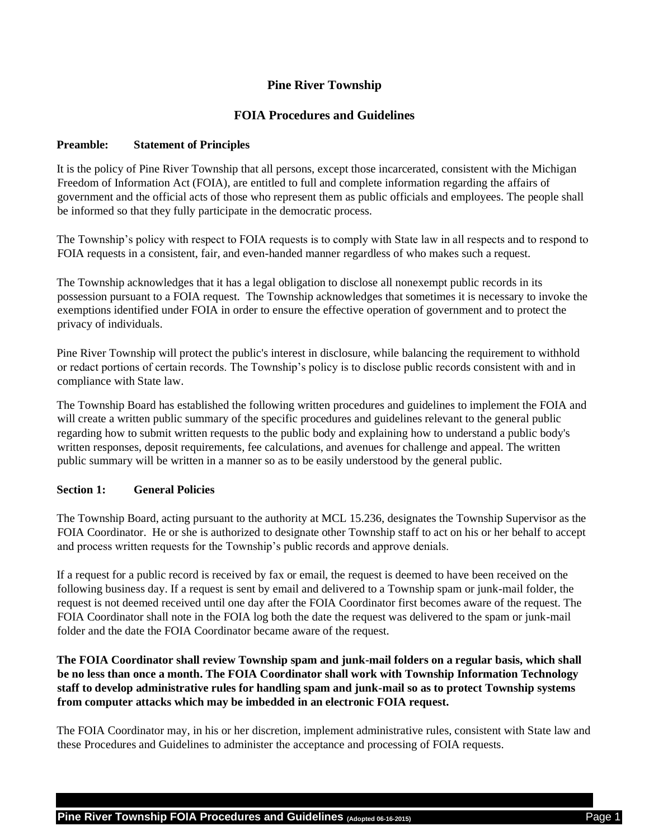# **Pine River Township**

## **FOIA Procedures and Guidelines**

#### **Preamble: Statement of Principles**

It is the policy of Pine River Township that all persons, except those incarcerated, consistent with the Michigan Freedom of Information Act (FOIA), are entitled to full and complete information regarding the affairs of government and the official acts of those who represent them as public officials and employees. The people shall be informed so that they fully participate in the democratic process.

The Township's policy with respect to FOIA requests is to comply with State law in all respects and to respond to FOIA requests in a consistent, fair, and even-handed manner regardless of who makes such a request.

The Township acknowledges that it has a legal obligation to disclose all nonexempt public records in its possession pursuant to a FOIA request. The Township acknowledges that sometimes it is necessary to invoke the exemptions identified under FOIA in order to ensure the effective operation of government and to protect the privacy of individuals.

Pine River Township will protect the public's interest in disclosure, while balancing the requirement to withhold or redact portions of certain records. The Township's policy is to disclose public records consistent with and in compliance with State law.

The Township Board has established the following written procedures and guidelines to implement the FOIA and will create a written public summary of the specific procedures and guidelines relevant to the general public regarding how to submit written requests to the public body and explaining how to understand a public body's written responses, deposit requirements, fee calculations, and avenues for challenge and appeal. The written public summary will be written in a manner so as to be easily understood by the general public.

### **Section 1: General Policies**

The Township Board, acting pursuant to the authority at MCL 15.236, designates the Township Supervisor as the FOIA Coordinator. He or she is authorized to designate other Township staff to act on his or her behalf to accept and process written requests for the Township's public records and approve denials.

If a request for a public record is received by fax or email, the request is deemed to have been received on the following business day. If a request is sent by email and delivered to a Township spam or junk-mail folder, the request is not deemed received until one day after the FOIA Coordinator first becomes aware of the request. The FOIA Coordinator shall note in the FOIA log both the date the request was delivered to the spam or junk-mail folder and the date the FOIA Coordinator became aware of the request.

**The FOIA Coordinator shall review Township spam and junk-mail folders on a regular basis, which shall be no less than once a month. The FOIA Coordinator shall work with Township Information Technology staff to develop administrative rules for handling spam and junk-mail so as to protect Township systems from computer attacks which may be imbedded in an electronic FOIA request.** 

The FOIA Coordinator may, in his or her discretion, implement administrative rules, consistent with State law and these Procedures and Guidelines to administer the acceptance and processing of FOIA requests.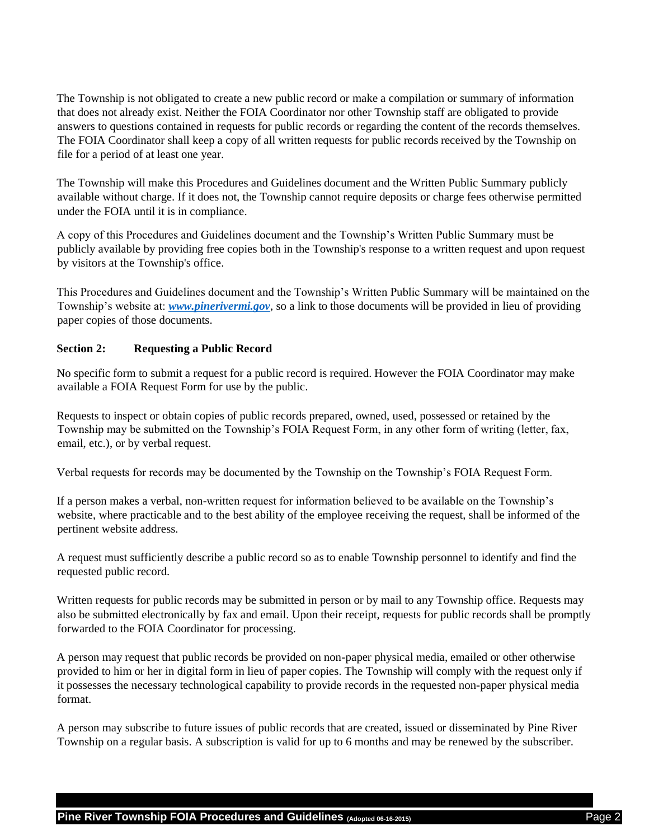The Township is not obligated to create a new public record or make a compilation or summary of information that does not already exist. Neither the FOIA Coordinator nor other Township staff are obligated to provide answers to questions contained in requests for public records or regarding the content of the records themselves. The FOIA Coordinator shall keep a copy of all written requests for public records received by the Township on file for a period of at least one year.

The Township will make this Procedures and Guidelines document and the Written Public Summary publicly available without charge. If it does not, the Township cannot require deposits or charge fees otherwise permitted under the FOIA until it is in compliance.

A copy of this Procedures and Guidelines document and the Township's Written Public Summary must be publicly available by providing free copies both in the Township's response to a written request and upon request by visitors at the Township's office.

This Procedures and Guidelines document and the Township's Written Public Summary will be maintained on the Township's website at: *[www.pinerivermi.gov](http://www.pinerivermi.gov/)*, so a link to those documents will be provided in lieu of providing paper copies of those documents.

### **Section 2: Requesting a Public Record**

No specific form to submit a request for a public record is required. However the FOIA Coordinator may make available a FOIA Request Form for use by the public.

Requests to inspect or obtain copies of public records prepared, owned, used, possessed or retained by the Township may be submitted on the Township's FOIA Request Form, in any other form of writing (letter, fax, email, etc.), or by verbal request.

Verbal requests for records may be documented by the Township on the Township's FOIA Request Form.

If a person makes a verbal, non-written request for information believed to be available on the Township's website, where practicable and to the best ability of the employee receiving the request, shall be informed of the pertinent website address.

A request must sufficiently describe a public record so as to enable Township personnel to identify and find the requested public record.

Written requests for public records may be submitted in person or by mail to any Township office. Requests may also be submitted electronically by fax and email. Upon their receipt, requests for public records shall be promptly forwarded to the FOIA Coordinator for processing.

A person may request that public records be provided on non-paper physical media, emailed or other otherwise provided to him or her in digital form in lieu of paper copies. The Township will comply with the request only if it possesses the necessary technological capability to provide records in the requested non-paper physical media format.

A person may subscribe to future issues of public records that are created, issued or disseminated by Pine River Township on a regular basis. A subscription is valid for up to 6 months and may be renewed by the subscriber.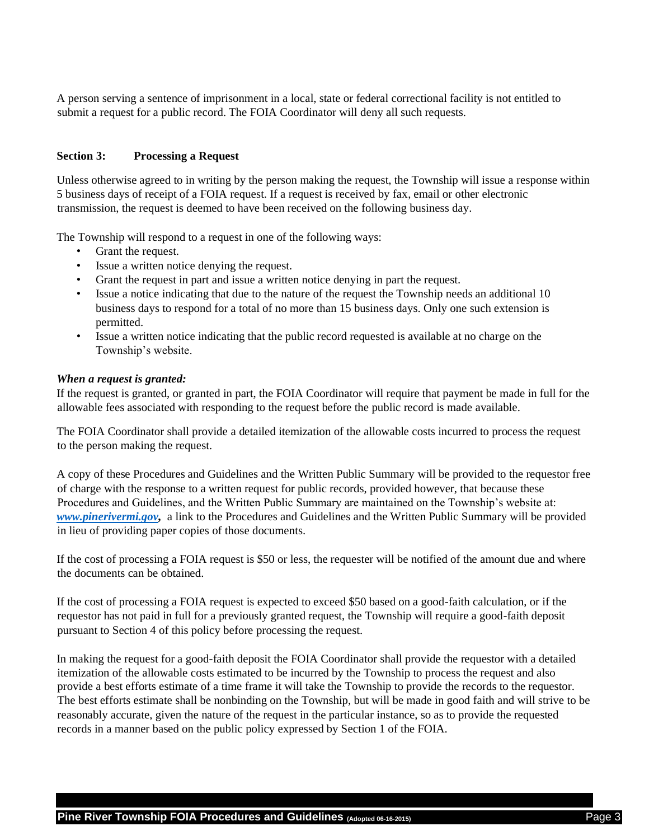A person serving a sentence of imprisonment in a local, state or federal correctional facility is not entitled to submit a request for a public record. The FOIA Coordinator will deny all such requests.

#### **Section 3: Processing a Request**

Unless otherwise agreed to in writing by the person making the request, the Township will issue a response within 5 business days of receipt of a FOIA request. If a request is received by fax, email or other electronic transmission, the request is deemed to have been received on the following business day.

The Township will respond to a request in one of the following ways:

- Grant the request.
- Issue a written notice denying the request.
- Grant the request in part and issue a written notice denying in part the request.
- Issue a notice indicating that due to the nature of the request the Township needs an additional 10 business days to respond for a total of no more than 15 business days. Only one such extension is permitted.
- Issue a written notice indicating that the public record requested is available at no charge on the Township's website.

#### *When a request is granted:*

If the request is granted, or granted in part, the FOIA Coordinator will require that payment be made in full for the allowable fees associated with responding to the request before the public record is made available.

The FOIA Coordinator shall provide a detailed itemization of the allowable costs incurred to process the request to the person making the request.

A copy of these Procedures and Guidelines and the Written Public Summary will be provided to the requestor free of charge with the response to a written request for public records, provided however, that because these Procedures and Guidelines, and the Written Public Summary are maintained on the Township's website at: *[www.pinerivermi.gov,](http://www.pinerivermi.gov/)* a link to the Procedures and Guidelines and the Written Public Summary will be provided in lieu of providing paper copies of those documents.

If the cost of processing a FOIA request is \$50 or less, the requester will be notified of the amount due and where the documents can be obtained.

If the cost of processing a FOIA request is expected to exceed \$50 based on a good-faith calculation, or if the requestor has not paid in full for a previously granted request, the Township will require a good-faith deposit pursuant to Section 4 of this policy before processing the request.

In making the request for a good-faith deposit the FOIA Coordinator shall provide the requestor with a detailed itemization of the allowable costs estimated to be incurred by the Township to process the request and also provide a best efforts estimate of a time frame it will take the Township to provide the records to the requestor. The best efforts estimate shall be nonbinding on the Township, but will be made in good faith and will strive to be reasonably accurate, given the nature of the request in the particular instance, so as to provide the requested records in a manner based on the public policy expressed by Section 1 of the FOIA.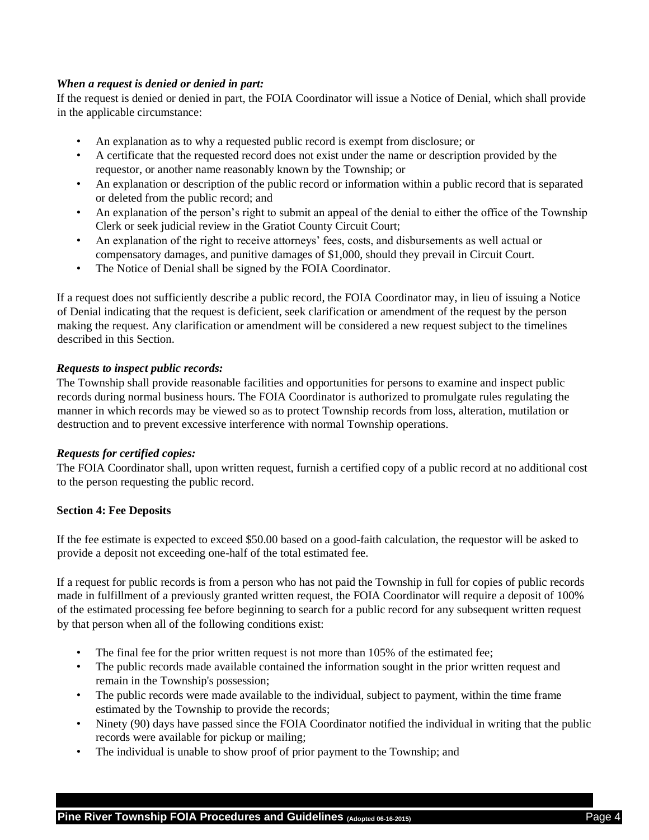## *When a request is denied or denied in part:*

If the request is denied or denied in part, the FOIA Coordinator will issue a Notice of Denial, which shall provide in the applicable circumstance:

- An explanation as to why a requested public record is exempt from disclosure; or
- A certificate that the requested record does not exist under the name or description provided by the requestor, or another name reasonably known by the Township; or
- An explanation or description of the public record or information within a public record that is separated or deleted from the public record; and
- An explanation of the person's right to submit an appeal of the denial to either the office of the Township Clerk or seek judicial review in the Gratiot County Circuit Court;
- An explanation of the right to receive attorneys' fees, costs, and disbursements as well actual or compensatory damages, and punitive damages of \$1,000, should they prevail in Circuit Court.
- The Notice of Denial shall be signed by the FOIA Coordinator.

If a request does not sufficiently describe a public record, the FOIA Coordinator may, in lieu of issuing a Notice of Denial indicating that the request is deficient, seek clarification or amendment of the request by the person making the request. Any clarification or amendment will be considered a new request subject to the timelines described in this Section.

## *Requests to inspect public records:*

The Township shall provide reasonable facilities and opportunities for persons to examine and inspect public records during normal business hours. The FOIA Coordinator is authorized to promulgate rules regulating the manner in which records may be viewed so as to protect Township records from loss, alteration, mutilation or destruction and to prevent excessive interference with normal Township operations.

### *Requests for certified copies:*

The FOIA Coordinator shall, upon written request, furnish a certified copy of a public record at no additional cost to the person requesting the public record.

### **Section 4: Fee Deposits**

If the fee estimate is expected to exceed \$50.00 based on a good-faith calculation, the requestor will be asked to provide a deposit not exceeding one-half of the total estimated fee.

If a request for public records is from a person who has not paid the Township in full for copies of public records made in fulfillment of a previously granted written request, the FOIA Coordinator will require a deposit of 100% of the estimated processing fee before beginning to search for a public record for any subsequent written request by that person when all of the following conditions exist:

- The final fee for the prior written request is not more than 105% of the estimated fee;
- The public records made available contained the information sought in the prior written request and remain in the Township's possession;
- The public records were made available to the individual, subject to payment, within the time frame estimated by the Township to provide the records;
- Ninety (90) days have passed since the FOIA Coordinator notified the individual in writing that the public records were available for pickup or mailing;
- The individual is unable to show proof of prior payment to the Township; and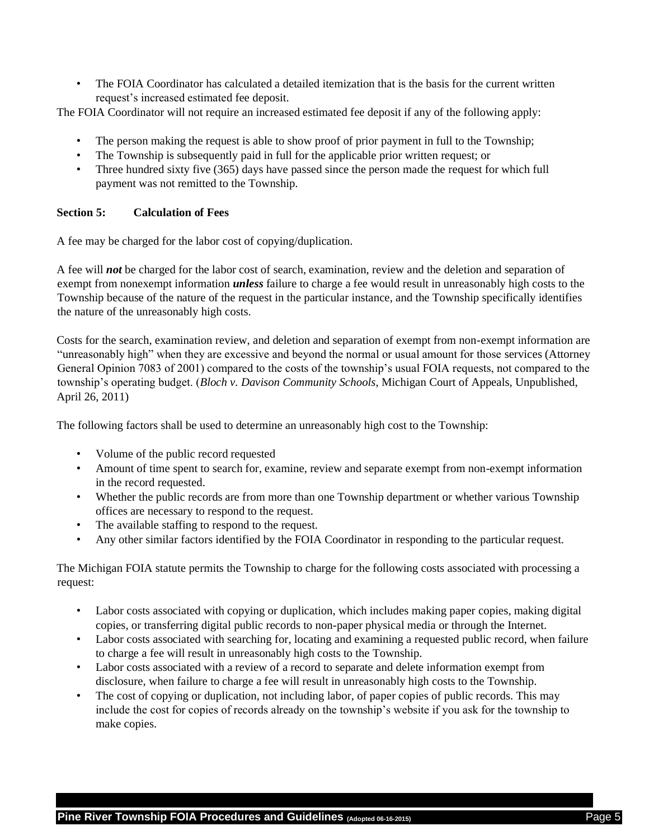• The FOIA Coordinator has calculated a detailed itemization that is the basis for the current written request's increased estimated fee deposit.

The FOIA Coordinator will not require an increased estimated fee deposit if any of the following apply:

- The person making the request is able to show proof of prior payment in full to the Township;
- The Township is subsequently paid in full for the applicable prior written request; or
- Three hundred sixty five (365) days have passed since the person made the request for which full payment was not remitted to the Township.

### **Section 5: Calculation of Fees**

A fee may be charged for the labor cost of copying/duplication.

A fee will *not* be charged for the labor cost of search, examination, review and the deletion and separation of exempt from nonexempt information *unless* failure to charge a fee would result in unreasonably high costs to the Township because of the nature of the request in the particular instance, and the Township specifically identifies the nature of the unreasonably high costs.

Costs for the search, examination review, and deletion and separation of exempt from non-exempt information are "unreasonably high" when they are excessive and beyond the normal or usual amount for those services (Attorney General Opinion 7083 of 2001) compared to the costs of the township's usual FOIA requests, not compared to the township's operating budget. (*Bloch v. Davison Community Schools*, Michigan Court of Appeals, Unpublished, April 26, 2011)

The following factors shall be used to determine an unreasonably high cost to the Township:

- Volume of the public record requested
- Amount of time spent to search for, examine, review and separate exempt from non-exempt information in the record requested.
- Whether the public records are from more than one Township department or whether various Township offices are necessary to respond to the request.
- The available staffing to respond to the request.
- Any other similar factors identified by the FOIA Coordinator in responding to the particular request.

The Michigan FOIA statute permits the Township to charge for the following costs associated with processing a request:

- Labor costs associated with copying or duplication, which includes making paper copies, making digital copies, or transferring digital public records to non-paper physical media or through the Internet.
- Labor costs associated with searching for, locating and examining a requested public record, when failure to charge a fee will result in unreasonably high costs to the Township.
- Labor costs associated with a review of a record to separate and delete information exempt from disclosure, when failure to charge a fee will result in unreasonably high costs to the Township.
- The cost of copying or duplication, not including labor, of paper copies of public records. This may include the cost for copies of records already on the township's website if you ask for the township to make copies.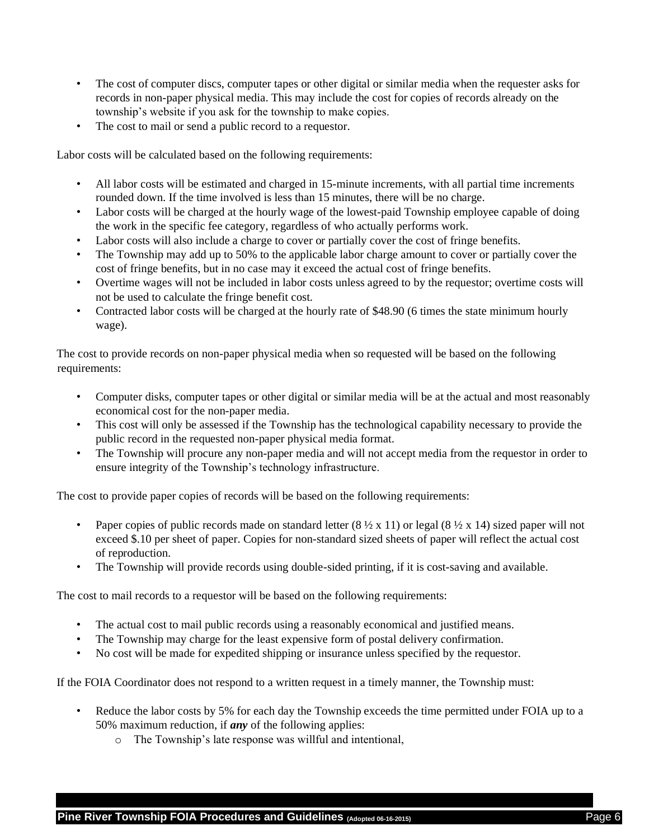- The cost of computer discs, computer tapes or other digital or similar media when the requester asks for records in non-paper physical media. This may include the cost for copies of records already on the township's website if you ask for the township to make copies.
- The cost to mail or send a public record to a requestor.

Labor costs will be calculated based on the following requirements:

- All labor costs will be estimated and charged in 15-minute increments, with all partial time increments rounded down. If the time involved is less than 15 minutes, there will be no charge.
- Labor costs will be charged at the hourly wage of the lowest-paid Township employee capable of doing the work in the specific fee category, regardless of who actually performs work.
- Labor costs will also include a charge to cover or partially cover the cost of fringe benefits.
- The Township may add up to 50% to the applicable labor charge amount to cover or partially cover the cost of fringe benefits, but in no case may it exceed the actual cost of fringe benefits.
- Overtime wages will not be included in labor costs unless agreed to by the requestor; overtime costs will not be used to calculate the fringe benefit cost.
- Contracted labor costs will be charged at the hourly rate of \$48.90 (6 times the state minimum hourly wage).

The cost to provide records on non-paper physical media when so requested will be based on the following requirements:

- Computer disks, computer tapes or other digital or similar media will be at the actual and most reasonably economical cost for the non-paper media.
- This cost will only be assessed if the Township has the technological capability necessary to provide the public record in the requested non-paper physical media format.
- The Township will procure any non-paper media and will not accept media from the requestor in order to ensure integrity of the Township's technology infrastructure.

The cost to provide paper copies of records will be based on the following requirements:

- Paper copies of public records made on standard letter  $(8 \frac{1}{2} \times 11)$  or legal  $(8 \frac{1}{2} \times 14)$  sized paper will not exceed \$.10 per sheet of paper. Copies for non-standard sized sheets of paper will reflect the actual cost of reproduction.
- The Township will provide records using double-sided printing, if it is cost-saving and available.

The cost to mail records to a requestor will be based on the following requirements:

- The actual cost to mail public records using a reasonably economical and justified means.
- The Township may charge for the least expensive form of postal delivery confirmation.
- No cost will be made for expedited shipping or insurance unless specified by the requestor.

If the FOIA Coordinator does not respond to a written request in a timely manner, the Township must:

- Reduce the labor costs by 5% for each day the Township exceeds the time permitted under FOIA up to a 50% maximum reduction, if *any* of the following applies:
	- o The Township's late response was willful and intentional,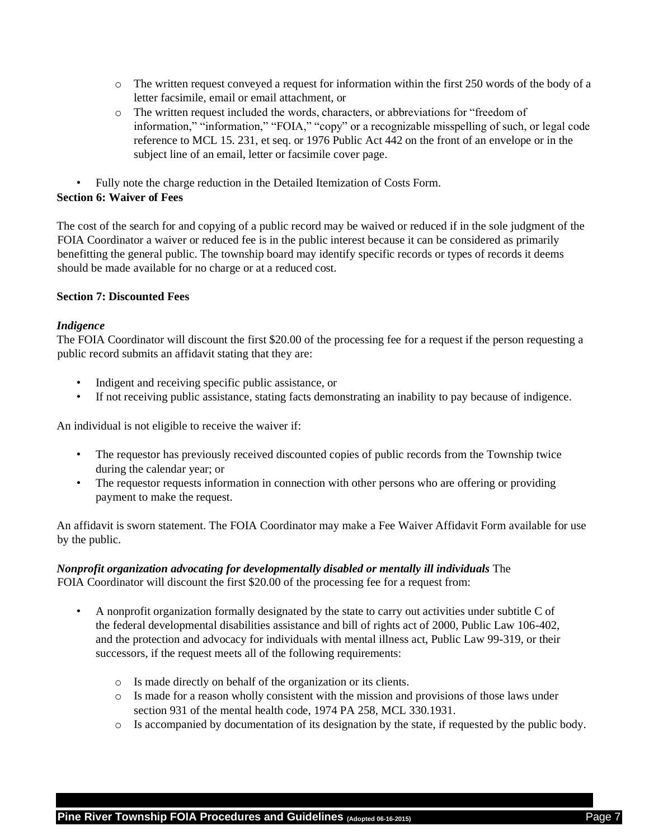- $\circ$  The written request conveyed a request for information within the first 250 words of the body of a letter facsimile, email or email attachment, or
- o The written request included the words, characters, or abbreviations for "freedom of information," "information," "FOIA," "copy" or a recognizable misspelling of such, or legal code reference to MCL 15. 231, et seq. or 1976 Public Act 442 on the front of an envelope or in the subject line of an email, letter or facsimile cover page.
- Fully note the charge reduction in the Detailed Itemization of Costs Form.

## **Section 6: Waiver of Fees**

The cost of the search for and copying of a public record may be waived or reduced if in the sole judgment of the FOIA Coordinator a waiver or reduced fee is in the public interest because it can be considered as primarily benefitting the general public. The township board may identify specific records or types of records it deems should be made available for no charge or at a reduced cost.

## **Section 7: Discounted Fees**

## *Indigence*

The FOIA Coordinator will discount the first \$20.00 of the processing fee for a request if the person requesting a public record submits an affidavit stating that they are:

- Indigent and receiving specific public assistance, or
- If not receiving public assistance, stating facts demonstrating an inability to pay because of indigence.

An individual is not eligible to receive the waiver if:

- The requestor has previously received discounted copies of public records from the Township twice during the calendar year; or
- The requestor requests information in connection with other persons who are offering or providing payment to make the request.

An affidavit is sworn statement. The FOIA Coordinator may make a Fee Waiver Affidavit Form available for use by the public.

## *Nonprofit organization advocating for developmentally disabled or mentally ill individuals* The FOIA Coordinator will discount the first \$20.00 of the processing fee for a request from:

- A nonprofit organization formally designated by the state to carry out activities under subtitle C of the federal developmental disabilities assistance and bill of rights act of 2000, Public Law 106-402, and the protection and advocacy for individuals with mental illness act, Public Law 99-319, or their successors, if the request meets all of the following requirements:
	- o Is made directly on behalf of the organization or its clients.
	- o Is made for a reason wholly consistent with the mission and provisions of those laws under section 931 of the mental health code, 1974 PA 258, MCL 330.1931.
	- o Is accompanied by documentation of its designation by the state, if requested by the public body.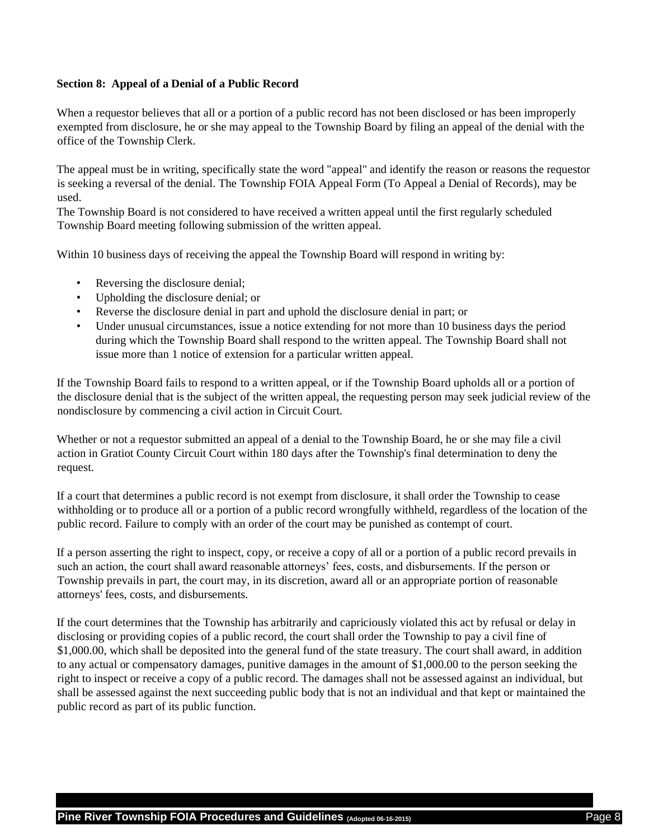#### **Section 8: Appeal of a Denial of a Public Record**

When a requestor believes that all or a portion of a public record has not been disclosed or has been improperly exempted from disclosure, he or she may appeal to the Township Board by filing an appeal of the denial with the office of the Township Clerk.

The appeal must be in writing, specifically state the word "appeal" and identify the reason or reasons the requestor is seeking a reversal of the denial. The Township FOIA Appeal Form (To Appeal a Denial of Records), may be used.

The Township Board is not considered to have received a written appeal until the first regularly scheduled Township Board meeting following submission of the written appeal.

Within 10 business days of receiving the appeal the Township Board will respond in writing by:

- Reversing the disclosure denial;
- Upholding the disclosure denial; or
- Reverse the disclosure denial in part and uphold the disclosure denial in part; or
- Under unusual circumstances, issue a notice extending for not more than 10 business days the period during which the Township Board shall respond to the written appeal. The Township Board shall not issue more than 1 notice of extension for a particular written appeal.

If the Township Board fails to respond to a written appeal, or if the Township Board upholds all or a portion of the disclosure denial that is the subject of the written appeal, the requesting person may seek judicial review of the nondisclosure by commencing a civil action in Circuit Court.

Whether or not a requestor submitted an appeal of a denial to the Township Board, he or she may file a civil action in Gratiot County Circuit Court within 180 days after the Township's final determination to deny the request.

If a court that determines a public record is not exempt from disclosure, it shall order the Township to cease withholding or to produce all or a portion of a public record wrongfully withheld, regardless of the location of the public record. Failure to comply with an order of the court may be punished as contempt of court.

If a person asserting the right to inspect, copy, or receive a copy of all or a portion of a public record prevails in such an action, the court shall award reasonable attorneys' fees, costs, and disbursements. If the person or Township prevails in part, the court may, in its discretion, award all or an appropriate portion of reasonable attorneys' fees, costs, and disbursements.

If the court determines that the Township has arbitrarily and capriciously violated this act by refusal or delay in disclosing or providing copies of a public record, the court shall order the Township to pay a civil fine of \$1,000.00, which shall be deposited into the general fund of the state treasury. The court shall award, in addition to any actual or compensatory damages, punitive damages in the amount of \$1,000.00 to the person seeking the right to inspect or receive a copy of a public record. The damages shall not be assessed against an individual, but shall be assessed against the next succeeding public body that is not an individual and that kept or maintained the public record as part of its public function.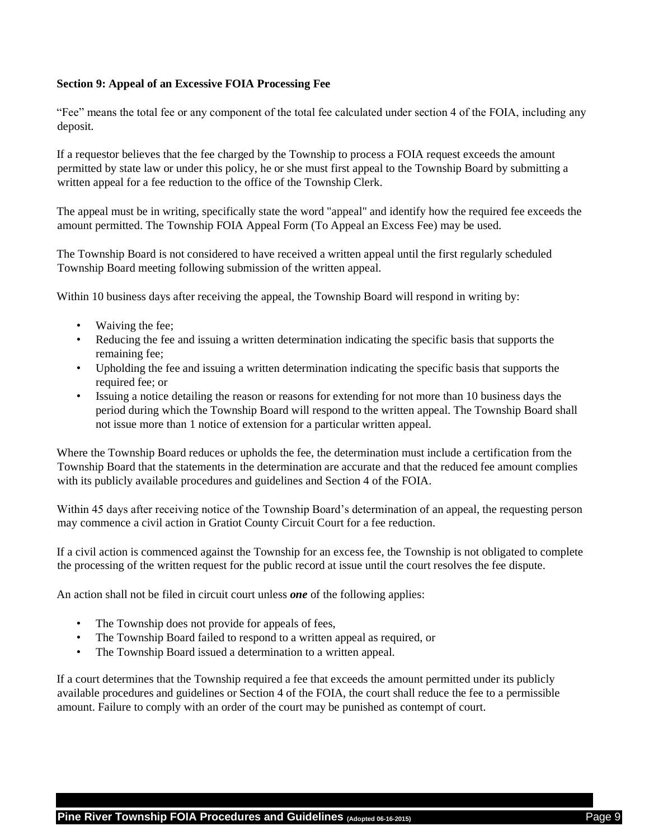### **Section 9: Appeal of an Excessive FOIA Processing Fee**

"Fee" means the total fee or any component of the total fee calculated under section 4 of the FOIA, including any deposit.

If a requestor believes that the fee charged by the Township to process a FOIA request exceeds the amount permitted by state law or under this policy, he or she must first appeal to the Township Board by submitting a written appeal for a fee reduction to the office of the Township Clerk.

The appeal must be in writing, specifically state the word "appeal" and identify how the required fee exceeds the amount permitted. The Township FOIA Appeal Form (To Appeal an Excess Fee) may be used.

The Township Board is not considered to have received a written appeal until the first regularly scheduled Township Board meeting following submission of the written appeal.

Within 10 business days after receiving the appeal, the Township Board will respond in writing by:

- Waiving the fee;
- Reducing the fee and issuing a written determination indicating the specific basis that supports the remaining fee;
- Upholding the fee and issuing a written determination indicating the specific basis that supports the required fee; or
- Issuing a notice detailing the reason or reasons for extending for not more than 10 business days the period during which the Township Board will respond to the written appeal. The Township Board shall not issue more than 1 notice of extension for a particular written appeal.

Where the Township Board reduces or upholds the fee, the determination must include a certification from the Township Board that the statements in the determination are accurate and that the reduced fee amount complies with its publicly available procedures and guidelines and Section 4 of the FOIA.

Within 45 days after receiving notice of the Township Board's determination of an appeal, the requesting person may commence a civil action in Gratiot County Circuit Court for a fee reduction.

If a civil action is commenced against the Township for an excess fee, the Township is not obligated to complete the processing of the written request for the public record at issue until the court resolves the fee dispute.

An action shall not be filed in circuit court unless *one* of the following applies:

- The Township does not provide for appeals of fees,
- The Township Board failed to respond to a written appeal as required, or
- The Township Board issued a determination to a written appeal.

If a court determines that the Township required a fee that exceeds the amount permitted under its publicly available procedures and guidelines or Section 4 of the FOIA, the court shall reduce the fee to a permissible amount. Failure to comply with an order of the court may be punished as contempt of court.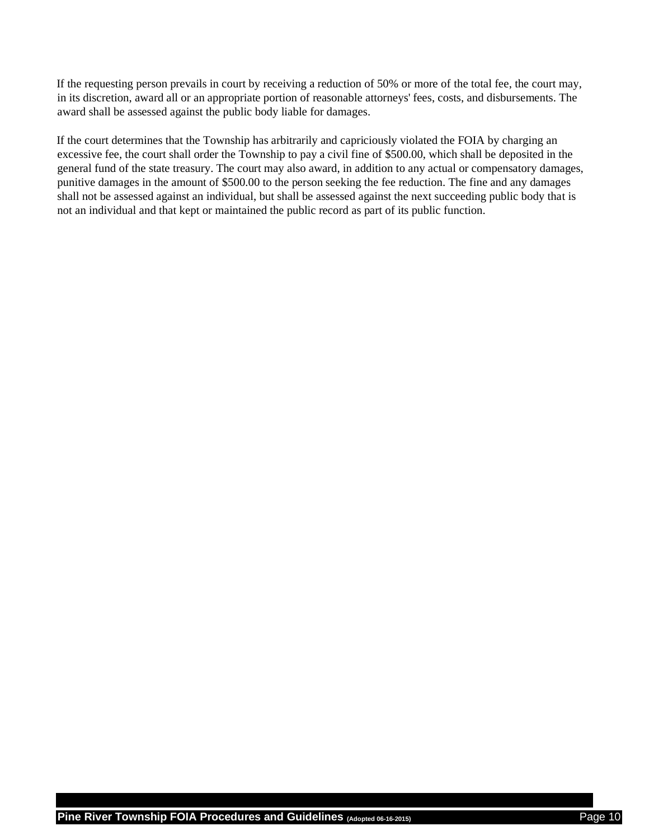If the requesting person prevails in court by receiving a reduction of 50% or more of the total fee, the court may, in its discretion, award all or an appropriate portion of reasonable attorneys' fees, costs, and disbursements. The award shall be assessed against the public body liable for damages.

If the court determines that the Township has arbitrarily and capriciously violated the FOIA by charging an excessive fee, the court shall order the Township to pay a civil fine of \$500.00, which shall be deposited in the general fund of the state treasury. The court may also award, in addition to any actual or compensatory damages, punitive damages in the amount of \$500.00 to the person seeking the fee reduction. The fine and any damages shall not be assessed against an individual, but shall be assessed against the next succeeding public body that is not an individual and that kept or maintained the public record as part of its public function.